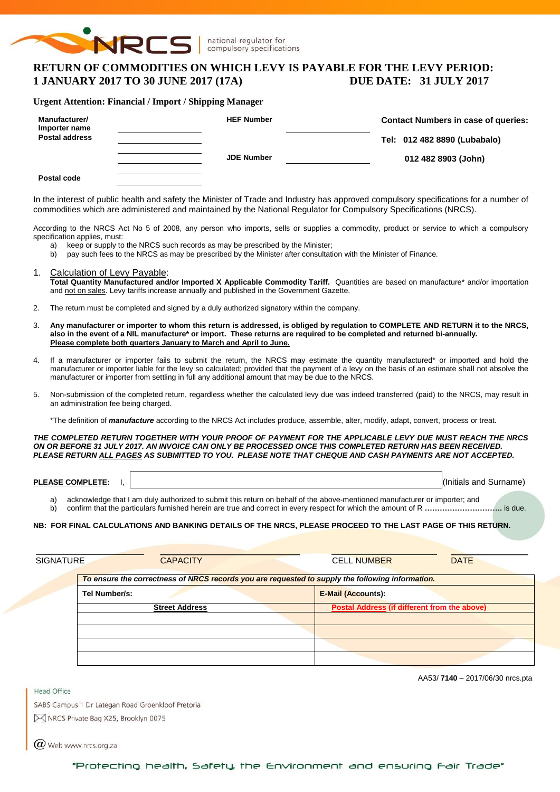

# **RETURN OF COMMODITIES ON WHICH LEVY IS PAYABLE FOR THE LEVY PERIOD: 1 JANUARY 2017 TO 30 JUNE 2017 (17A) DUE DATE: 31 JULY 2017**

### **Urgent Attention: Financial / Import / Shipping Manager**

| Manufacturer/<br>Importer name | <b>HEF Number</b> | <b>Contact Numbers in case of queries:</b> |
|--------------------------------|-------------------|--------------------------------------------|
| <b>Postal address</b>          |                   | Tel: 012 482 8890 (Lubabalo)               |
|                                | <b>JDE Number</b> | 012 482 8903 (John)                        |
| Postal code                    |                   |                                            |

In the interest of public health and safety the Minister of Trade and Industry has approved compulsory specifications for a number of commodities which are administered and maintained by the National Regulator for Compulsory Specifications (NRCS).

According to the NRCS Act No 5 of 2008, any person who imports, sells or supplies a commodity, product or service to which a compulsory specification applies, must:

- a) keep or supply to the NRCS such records as may be prescribed by the Minister;
- b) pay such fees to the NRCS as may be prescribed by the Minister after consultation with the Minister of Finance.
- 1. Calculation of Levy Payable: **Total Quantity Manufactured and/or Imported X Applicable Commodity Tariff.** Quantities are based on manufacture\* and/or importation and not on sales. Levy tariffs increase annually and published in the Government Gazette.
- 2. The return must be completed and signed by a duly authorized signatory within the company.
- 3. **Any manufacturer or importer to whom this return is addressed, is obliged by regulation to COMPLETE AND RETURN it to the NRCS, also in the event of a NIL manufacture\* or import. These returns are required to be completed and returned bi-annually. Please complete both quarters January to March and April to June.**
- 4. If a manufacturer or importer fails to submit the return, the NRCS may estimate the quantity manufactured\* or imported and hold the manufacturer or importer liable for the levy so calculated; provided that the payment of a levy on the basis of an estimate shall not absolve the manufacturer or importer from settling in full any additional amount that may be due to the NRCS.
- 5. Non-submission of the completed return, regardless whether the calculated levy due was indeed transferred (paid) to the NRCS, may result in an administration fee being charged.

\*The definition of *manufacture* according to the NRCS Act includes produce, assemble, alter, modify, adapt, convert, process or treat.

*THE COMPLETED RETURN TOGETHER WITH YOUR PROOF OF PAYMENT FOR THE APPLICABLE LEVY DUE MUST REACH THE NRCS ON OR BEFORE 31 JULY 2017. AN INVOICE CAN ONLY BE PROCESSED ONCE THIS COMPLETED RETURN HAS BEEN RECEIVED. PLEASE RETURN ALL PAGES AS SUBMITTED TO YOU. PLEASE NOTE THAT CHEQUE AND CASH PAYMENTS ARE NOT ACCEPTED.*

**PLEASE COMPLETE:** I,  $\vert$ 

- a) acknowledge that I am duly authorized to submit this return on behalf of the above-mentioned manufacturer or importer; and
- b) confirm that the particulars furnished herein are true and correct in every respect for which the amount of R **………………………….** is due.

#### **NB: FOR FINAL CALCULATIONS AND BANKING DETAILS OF THE NRCS, PLEASE PROCEED TO THE LAST PAGE OF THIS RETURN.**

| SIGNATURE | <b>CAPACITY</b>                                                                                  | <b>CELL NUMBER</b><br><b>DATE</b>                   |  |  |  |  |  |  |  |  |
|-----------|--------------------------------------------------------------------------------------------------|-----------------------------------------------------|--|--|--|--|--|--|--|--|
|           | To ensure the correctness of NRCS records you are requested to supply the following information. |                                                     |  |  |  |  |  |  |  |  |
|           | Tel Number/s:                                                                                    | <b>E-Mail (Accounts):</b>                           |  |  |  |  |  |  |  |  |
|           | <b>Street Address</b>                                                                            | <b>Postal Address (if different from the above)</b> |  |  |  |  |  |  |  |  |
|           |                                                                                                  |                                                     |  |  |  |  |  |  |  |  |
|           |                                                                                                  |                                                     |  |  |  |  |  |  |  |  |
|           |                                                                                                  |                                                     |  |  |  |  |  |  |  |  |
|           |                                                                                                  |                                                     |  |  |  |  |  |  |  |  |

AA53/ **7140** – 2017/06/30 nrcs.pta

SABS Campus 1 Dr Lategan Road Groenkloof Pretoria M NRCS Private Bag X25, Brooklyn 0075

 $(\alpha)$  Web www.nrcs.org.za

Head Office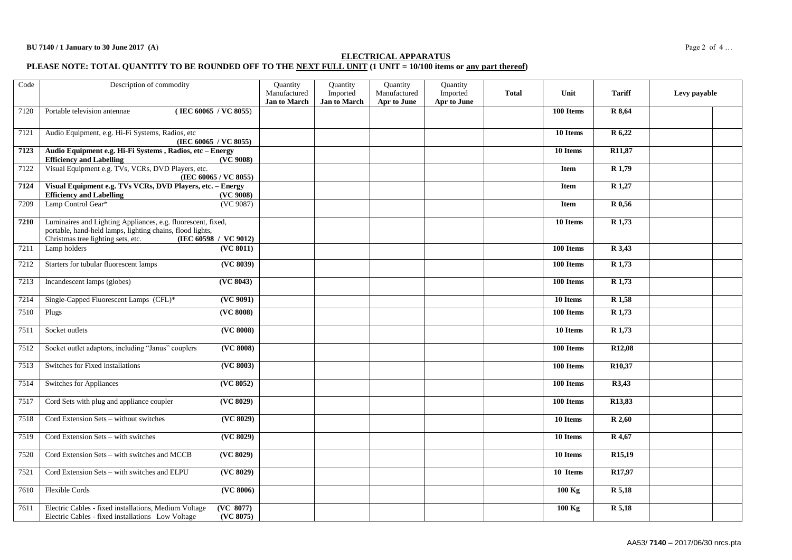#### **ELECTRICAL APPARATUS**

#### **PLEASE NOTE: TOTAL QUANTITY TO BE ROUNDED OFF TO THE NEXT FULL UNIT (1 UNIT = 10/100 items or any part thereof)**

| Code | Description of commodity                                                                                                                                                                 |                        | Quantity<br>Manufactured<br><b>Jan to March</b> | Quantity<br>Imported<br><b>Jan to March</b> | Quantity<br>Manufactured<br>Apr to June | Quantity<br>Imported<br>Apr to June | <b>Total</b> | Unit        | <b>Tariff</b>      | Levy payable |
|------|------------------------------------------------------------------------------------------------------------------------------------------------------------------------------------------|------------------------|-------------------------------------------------|---------------------------------------------|-----------------------------------------|-------------------------------------|--------------|-------------|--------------------|--------------|
| 7120 | (IEC 60065 / VC 8055)<br>Portable television antennae                                                                                                                                    |                        |                                                 |                                             |                                         |                                     |              | 100 Items   | R 8,64             |              |
| 7121 | Audio Equipment, e.g. Hi-Fi Systems, Radios, etc<br>(IEC 60065 / VC 8055)                                                                                                                |                        |                                                 |                                             |                                         |                                     |              | 10 Items    | R 6,22             |              |
| 7123 | Audio Equipment e.g. Hi-Fi Systems, Radios, etc - Energy<br><b>Efficiency and Labelling</b>                                                                                              | (VC 9008)              |                                                 |                                             |                                         |                                     |              | 10 Items    | R11,87             |              |
| 7122 | Visual Equipment e.g. TVs, VCRs, DVD Players, etc.<br>(IEC 60065 / VC 8055)                                                                                                              |                        |                                                 |                                             |                                         |                                     |              | <b>Item</b> | R <sub>1,79</sub>  |              |
| 7124 | Visual Equipment e.g. TVs VCRs, DVD Players, etc. - Energy<br><b>Efficiency and Labelling</b>                                                                                            | (VC 9008)              |                                                 |                                             |                                         |                                     |              | Item        | R 1,27             |              |
| 7209 | Lamp Control Gear*                                                                                                                                                                       | (VC 9087)              |                                                 |                                             |                                         |                                     |              | Item        | R 0,56             |              |
| 7210 | Luminaires and Lighting Appliances, e.g. fluorescent, fixed,<br>portable, hand-held lamps, lighting chains, flood lights,<br>Christmas tree lighting sets, etc.<br>(IEC 60598 / VC 9012) |                        |                                                 |                                             |                                         |                                     |              | 10 Items    | R 1,73             |              |
| 7211 | Lamp holders                                                                                                                                                                             | (VC 8011)              |                                                 |                                             |                                         |                                     |              | 100 Items   | R 3,43             |              |
| 7212 | Starters for tubular fluorescent lamps                                                                                                                                                   | ( <b>VC</b> 8039)      |                                                 |                                             |                                         |                                     |              | 100 Items   | R <sub>1,73</sub>  |              |
| 7213 | Incandescent lamps (globes)                                                                                                                                                              | (VC 8043)              |                                                 |                                             |                                         |                                     |              | 100 Items   | $R$ 1,73           |              |
| 7214 | Single-Capped Fluorescent Lamps (CFL)*                                                                                                                                                   | (VC 9091)              |                                                 |                                             |                                         |                                     |              | 10 Items    | R <sub>1,58</sub>  |              |
| 7510 | Plugs                                                                                                                                                                                    | (VC 8008)              |                                                 |                                             |                                         |                                     |              | 100 Items   | R <sub>1,73</sub>  |              |
| 7511 | Socket outlets                                                                                                                                                                           | (VC 8008)              |                                                 |                                             |                                         |                                     |              | 10 Items    | R 1,73             |              |
| 7512 | Socket outlet adaptors, including "Janus" couplers                                                                                                                                       | (VC 8008)              |                                                 |                                             |                                         |                                     |              | 100 Items   | R <sub>12,08</sub> |              |
| 7513 | Switches for Fixed installations                                                                                                                                                         | (VC 8003)              |                                                 |                                             |                                         |                                     |              | 100 Items   | R10,37             |              |
| 7514 | Switches for Appliances                                                                                                                                                                  | (VC 8052)              |                                                 |                                             |                                         |                                     |              | 100 Items   | R3,43              |              |
| 7517 | Cord Sets with plug and appliance coupler                                                                                                                                                | (VC 8029)              |                                                 |                                             |                                         |                                     |              | 100 Items   | R13,83             |              |
| 7518 | Cord Extension Sets - without switches                                                                                                                                                   | ( <b>VC</b> 8029)      |                                                 |                                             |                                         |                                     |              | 10 Items    | R 2,60             |              |
| 7519 | Cord Extension Sets - with switches                                                                                                                                                      | (VC 8029)              |                                                 |                                             |                                         |                                     |              | 10 Items    | R 4,67             |              |
| 7520 | Cord Extension Sets - with switches and MCCB                                                                                                                                             | ( <b>VC</b> 8029)      |                                                 |                                             |                                         |                                     |              | 10 Items    | R15,19             |              |
| 7521 | Cord Extension Sets - with switches and ELPU                                                                                                                                             | ( <b>VC</b> 8029)      |                                                 |                                             |                                         |                                     |              | 10 Items    | R <sub>17,97</sub> |              |
| 7610 | <b>Flexible Cords</b>                                                                                                                                                                    | (VC 8006)              |                                                 |                                             |                                         |                                     |              | $100$ Kg    | R 5,18             |              |
| 7611 | Electric Cables - fixed installations, Medium Voltage<br>Electric Cables - fixed installations Low Voltage                                                                               | (VC 8077)<br>(VC 8075) |                                                 |                                             |                                         |                                     |              | $100$ Kg    | R 5,18             |              |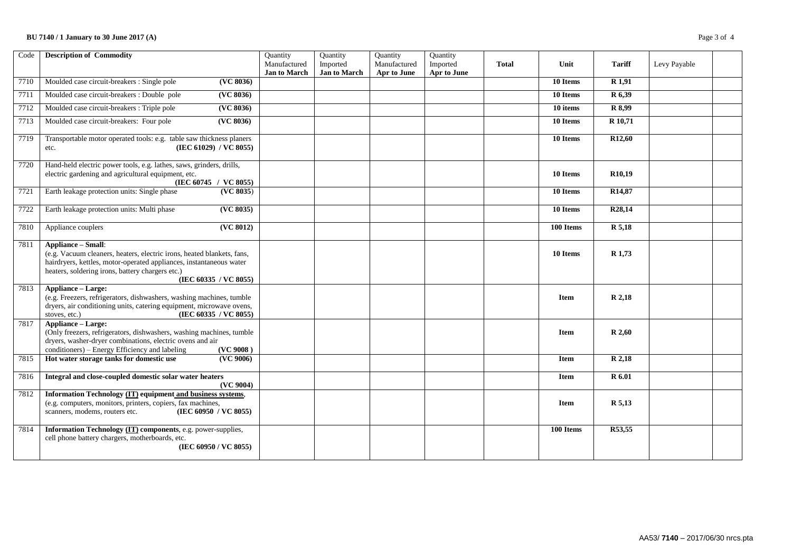### **BU 7140 / 1 January to 30 June 2017 (A)** Page 3 of 4

| Code | <b>Description of Commodity</b>                                                                                                                                                                                                                         | Quantity<br>Manufactured<br><b>Jan to March</b> | Quantity<br>Imported<br>Jan to March | Quantity<br>Manufactured<br>Apr to June | Quantity<br>Imported<br>Apr to June | <b>Total</b> | Unit        | <b>Tariff</b>       | Levy Payable |  |
|------|---------------------------------------------------------------------------------------------------------------------------------------------------------------------------------------------------------------------------------------------------------|-------------------------------------------------|--------------------------------------|-----------------------------------------|-------------------------------------|--------------|-------------|---------------------|--------------|--|
| 7710 | Moulded case circuit-breakers : Single pole<br>( <b>VC</b> 8036)                                                                                                                                                                                        |                                                 |                                      |                                         |                                     |              | 10 Items    | R <sub>1,91</sub>   |              |  |
| 7711 | Moulded case circuit-breakers : Double pole<br>(VC 8036)                                                                                                                                                                                                |                                                 |                                      |                                         |                                     |              | 10 Items    | R 6,39              |              |  |
| 7712 | Moulded case circuit-breakers : Triple pole<br>(VC 8036)                                                                                                                                                                                                |                                                 |                                      |                                         |                                     |              | 10 items    | R 8,99              |              |  |
| 7713 | (VC 8036)<br>Moulded case circuit-breakers: Four pole                                                                                                                                                                                                   |                                                 |                                      |                                         |                                     |              | 10 Items    | R 10,71             |              |  |
| 7719 | Transportable motor operated tools: e.g. table saw thickness planers<br>(IEC 61029) / VC 8055)<br>etc.                                                                                                                                                  |                                                 |                                      |                                         |                                     |              | 10 Items    | R <sub>12</sub> ,60 |              |  |
| 7720 | Hand-held electric power tools, e.g. lathes, saws, grinders, drills,<br>electric gardening and agricultural equipment, etc.<br>(IEC 60745 / VC 8055)                                                                                                    |                                                 |                                      |                                         |                                     |              | 10 Items    | R <sub>10.19</sub>  |              |  |
| 7721 | Earth leakage protection units: Single phase<br>(VC 8035)                                                                                                                                                                                               |                                                 |                                      |                                         |                                     |              | 10 Items    | R14,87              |              |  |
| 7722 | Earth leakage protection units: Multi phase<br>( <b>VC</b> 8035)                                                                                                                                                                                        |                                                 |                                      |                                         |                                     |              | 10 Items    | R <sub>28</sub> ,14 |              |  |
| 7810 | ( <b>VC</b> 8012)<br>Appliance couplers                                                                                                                                                                                                                 |                                                 |                                      |                                         |                                     |              | 100 Items   | R 5,18              |              |  |
| 7811 | <b>Appliance - Small:</b><br>(e.g. Vacuum cleaners, heaters, electric irons, heated blankets, fans,<br>hairdryers, kettles, motor-operated appliances, instantaneous water<br>heaters, soldering irons, battery chargers etc.)<br>(IEC 60335 / VC 8055) |                                                 |                                      |                                         |                                     |              | 10 Items    | R 1,73              |              |  |
| 7813 | <b>Appliance - Large:</b><br>(e.g. Freezers, refrigerators, dishwashers, washing machines, tumble<br>dryers, air conditioning units, catering equipment, microwave ovens,<br>(IEC 60335 / VC 8055)<br>stoves, etc.)                                     |                                                 |                                      |                                         |                                     |              | <b>Item</b> | R 2,18              |              |  |
| 7817 | <b>Appliance - Large:</b><br>(Only freezers, refrigerators, dishwashers, washing machines, tumble<br>dryers, washer-dryer combinations, electric ovens and air<br>conditioners) – Energy Efficiency and labeling<br>(VC 9008)                           |                                                 |                                      |                                         |                                     |              | Item        | R 2,60              |              |  |
| 7815 | Hot water storage tanks for domestic use<br>(VC 9006)                                                                                                                                                                                                   |                                                 |                                      |                                         |                                     |              | <b>Item</b> | R 2,18              |              |  |
| 7816 | Integral and close-coupled domestic solar water heaters<br>(VC 9004)                                                                                                                                                                                    |                                                 |                                      |                                         |                                     |              | <b>Item</b> | <b>R</b> 6.01       |              |  |
| 7812 | Information Technology (IT) equipment and business systems,<br>(e.g. computers, monitors, printers, copiers, fax machines,<br>(IEC 60950 / VC 8055)<br>scanners, modems, routers etc.                                                                   |                                                 |                                      |                                         |                                     |              | <b>Item</b> | R 5,13              |              |  |
| 7814 | Information Technology (IT) components, e.g. power-supplies,<br>cell phone battery chargers, motherboards, etc.<br>(IEC 60950 / VC 8055)                                                                                                                |                                                 |                                      |                                         |                                     |              | 100 Items   | R53,55              |              |  |